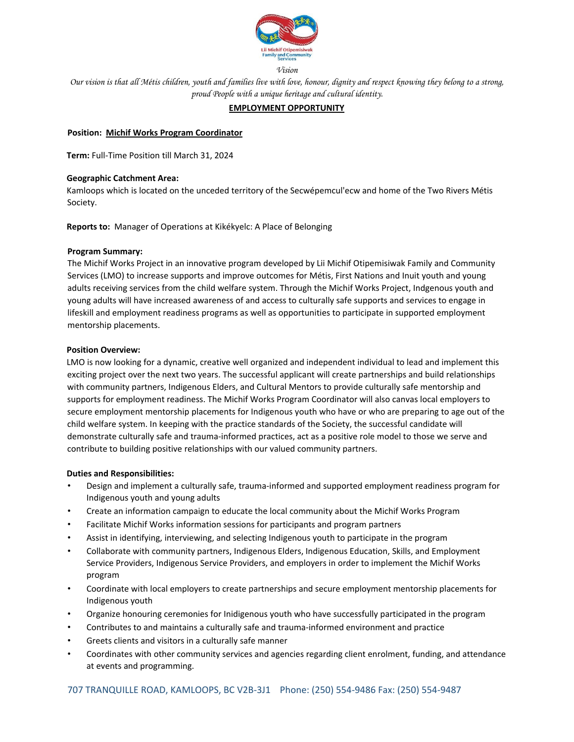

#### *Vision*

*Our vision is that all Métis children, youth and families live with love, honour, dignity and respect knowing they belong to a strong, proud People with a unique heritage and cultural identity.* 

# **EMPLOYMENT OPPORTUNITY**

### **Position: Michif Works Program Coordinator**

**Term:** Full‐Time Position till March 31, 2024

# **Geographic Catchment Area:**

Kamloops which is located on the unceded territory of the Secwépemcul'ecw and home of the Two Rivers Métis Society.

**Reports to:** Manager of Operations at Kikékyelc: A Place of Belonging

# **Program Summary:**

The Michif Works Project in an innovative program developed by Lii Michif Otipemisiwak Family and Community Services (LMO) to increase supports and improve outcomes for Métis, First Nations and Inuit youth and young adults receiving services from the child welfare system. Through the Michif Works Project, Indgenous youth and young adults will have increased awareness of and access to culturally safe supports and services to engage in lifeskill and employment readiness programs as well as opportunities to participate in supported employment mentorship placements.

# **Position Overview:**

LMO is now looking for a dynamic, creative well organized and independent individual to lead and implement this exciting project over the next two years. The successful applicant will create partnerships and build relationships with community partners, Indigenous Elders, and Cultural Mentors to provide culturally safe mentorship and supports for employment readiness. The Michif Works Program Coordinator will also canvas local employers to secure employment mentorship placements for Indigenous youth who have or who are preparing to age out of the child welfare system. In keeping with the practice standards of the Society, the successful candidate will demonstrate culturally safe and trauma‐informed practices, act as a positive role model to those we serve and contribute to building positive relationships with our valued community partners.

### **Duties and Responsibilities:**

- Design and implement a culturally safe, trauma‐informed and supported employment readiness program for Indigenous youth and young adults
- Create an information campaign to educate the local community about the Michif Works Program
- Facilitate Michif Works information sessions for participants and program partners
- Assist in identifying, interviewing, and selecting Indigenous youth to participate in the program
- Collaborate with community partners, Indigenous Elders, Indigenous Education, Skills, and Employment Service Providers, Indigenous Service Providers, and employers in order to implement the Michif Works program
- Coordinate with local employers to create partnerships and secure employment mentorship placements for Indigenous youth
- Organize honouring ceremonies for Inidigenous youth who have successfully participated in the program
- Contributes to and maintains a culturally safe and trauma‐informed environment and practice
- Greets clients and visitors in a culturally safe manner
- Coordinates with other community services and agencies regarding client enrolment, funding, and attendance at events and programming.